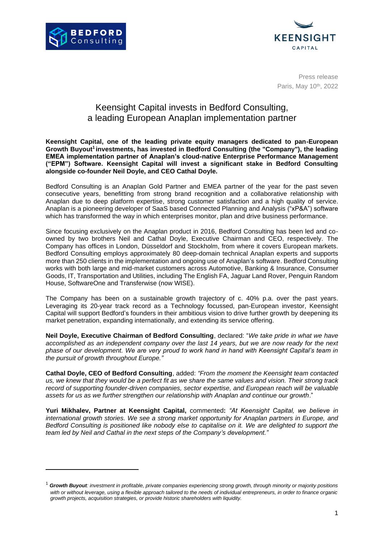



Press release Paris, May 10<sup>th</sup>, 2022

## Keensight Capital invests in Bedford Consulting, a leading European Anaplan implementation partner

**Keensight Capital, one of the leading private equity managers dedicated to pan-European Growth Buyout<sup>1</sup> investments, has invested in Bedford Consulting (the "Company"), the leading EMEA implementation partner of Anaplan's cloud-native Enterprise Performance Management ("EPM") Software. Keensight Capital will invest a significant stake in Bedford Consulting alongside co-founder Neil Doyle, and CEO Cathal Doyle.**

Bedford Consulting is an Anaplan Gold Partner and EMEA partner of the year for the past seven consecutive years, benefitting from strong brand recognition and a collaborative relationship with Anaplan due to deep platform expertise, strong customer satisfaction and a high quality of service. Anaplan is a pioneering developer of SaaS based Connected Planning and Analysis ("xP&A") software which has transformed the way in which enterprises monitor, plan and drive business performance.

Since focusing exclusively on the Anaplan product in 2016, Bedford Consulting has been led and coowned by two brothers Neil and Cathal Doyle, Executive Chairman and CEO, respectively. The Company has offices in London, Düsseldorf and Stockholm, from where it covers European markets. Bedford Consulting employs approximately 80 deep-domain technical Anaplan experts and supports more than 250 clients in the implementation and ongoing use of Anaplan's software. Bedford Consulting works with both large and mid-market customers across Automotive, Banking & Insurance, Consumer Goods, IT, Transportation and Utilities, including The English FA, Jaguar Land Rover, Penguin Random House, SoftwareOne and Transferwise (now WISE).

The Company has been on a sustainable growth trajectory of c. 40% p.a. over the past years. Leveraging its 20-year track record as a Technology focussed, pan-European investor, Keensight Capital will support Bedford's founders in their ambitious vision to drive further growth by deepening its market penetration, expanding internationally, and extending its service offering.

**Neil Doyle, Executive Chairman of Bedford Consulting**, declared: "*We take pride in what we have accomplished as an independent company over the last 14 years, but we are now ready for the next phase of our development. We are very proud to work hand in hand with Keensight Capital's team in the pursuit of growth throughout Europe."*

**Cathal Doyle, CEO of Bedford Consulting**, added: *"From the moment the Keensight team contacted us, we knew that they would be a perfect fit as we share the same values and vision. Their strong track record of supporting founder-driven companies, sector expertise, and European reach will be valuable assets for us as we further strengthen our relationship with Anaplan and continue our growth*."

**Yuri Mikhalev, Partner at Keensight Capital,** commented**:** *"At Keensight Capital, we believe in international growth stories. We see a strong market opportunity for Anaplan partners in Europe, and Bedford Consulting is positioned like nobody else to capitalise on it. We are delighted to support the team led by Neil and Cathal in the next steps of the Company's development."*

<sup>1</sup> *Growth Buyout: investment in profitable, private companies experiencing strong growth, through minority or majority positions*  with or without leverage, using a flexible approach tailored to the needs of individual entrepreneurs, in order to finance organic *growth projects, acquisition strategies, or provide historic shareholders with liquidity.*